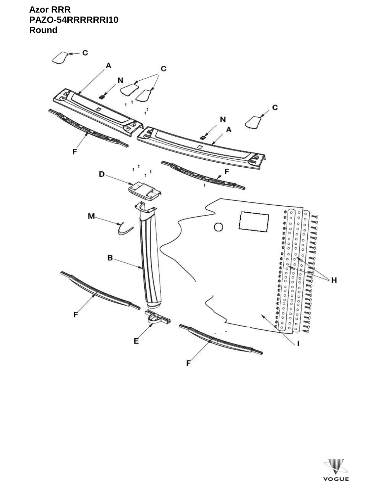## **Azor RRR** PAZO-54RRRRRRI10 Round